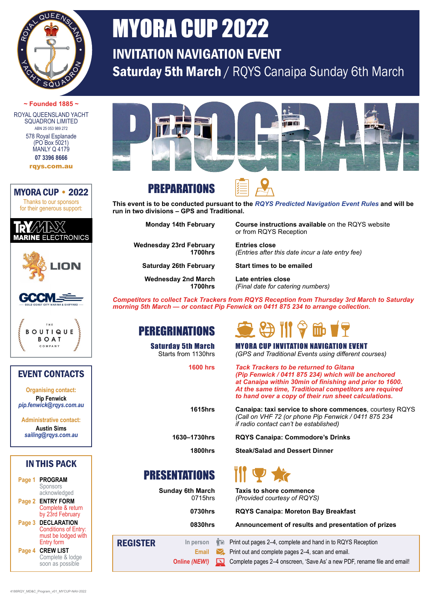

# MYORA CUP 2022

INVITATION NAVIGATION EVENT Saturday 5th March / RQYS Canaipa Sunday 6th March

#### **~ Founded 1885 ~** ROYAL QUEENSLAND YACHT SQUADRON LIMITED<br>ABN 25 053 989 272

578 Royal Esplanade (PO Box 5021) **MANLY Q 4179 [07 3396 8666](tel:0733968666)**

[rqys.com.au](http://www.rqys.com.au)











#### EVENT CONTACTS

**Organising contact: Pip Fenwick**  *[pip.fenwick@rqys.com.au](mailto:pip.fenwick@rqys.com.au)*

**Administrative contact: Austin Sims**  *[sailing@rqys.com.au](mailto:sailing@rqys.com.au)*

#### IN THIS PACK

| Page 1 | <b>PROGRAM</b><br>Sponsors<br>acknowledged                                             |
|--------|----------------------------------------------------------------------------------------|
| Page 2 | <b>ENTRY FORM</b><br>Complete & return<br>by 23rd February                             |
| Page 3 | DECLARATION<br><b>Conditions of Entry:</b><br>must be lodged with<br><b>Entry form</b> |
| Page 4 | <b>CREW LIST</b><br>Complete & lodge<br>soon as possible                               |



### PREPARATIONS



**This event is to be conducted pursuant to the** *[RQYS Predicted Navigation Event Rules](http://www.rqys.com.au/wp-content/uploads/2019/07/RQYS-Predicted-Navigation-Event-Rules-Ver-5.2.pdf)* **and will be run in two divisions – GPS and Traditional.**

**Wednesday 23rd February Entries close** 

**Wednesday 2nd March Late entries close**

**Monday 14th February Course instructions available** on the RQYS website or from RQYS Reception

**1700hrs** *(Entries after this date incur a late entry fee)*

**Saturday 26th February Start times to be emailed**

**1700hrs** *(Final date for catering numbers)*

*Competitors to collect Tack Trackers from RQYS Reception from Thursday 3rd March to Saturday morning 5th March — or contact Pip Fenwick on [0411 875 234](tel:61411875234) to arrange collection.*

#### PEREGRINATIONS



**Saturday 5th March MYORA CUP INVITATION NAVIGATION EVENT**<br>Starts from 1130hrs (GPS and Traditional Events using different co Starts from 1130hrs  *(GPS and Traditional Events using different courses)*

> **1600 hrs** *Tack Trackers to be returned to Gitana (Pip Fenwick / [0411 875 234\)](tel:61411875234) which will be anchored at Canaipa within 30min of finishing and prior to 1600. At the same time, Traditional competitors are required to hand over a copy of their run sheet calculations.*

**1615hrs Canaipa: taxi service to shore commences**, courtesy RQYS *(Call on VHF 72 (or phone Pip Fenwick / [0411 875 234](tel:61411875234)  if radio contact can't be established)*

**1630–1730hrs RQYS Canaipa: Commodore's Drinks**

**1800hrs Steak/Salad and Dessert Dinner**

## PRESENTATIONS

**Sunday 6th March <b>Taxis to shore commence**<br>0715hrs *(Provided courtesy of ROYS*) 0715hrs *(Provided courtesy of RQYS)*

**0730hrs RQYS Canaipa: Moreton Bay Breakfast**

**0830hrs Announcement of results and presentation of prizes**

| <b>REGISTER</b> |  |  | In person $\hat{\P}$ Print out pages 2–4, complete and hand in to RQYS Reception                  |  |  |
|-----------------|--|--|---------------------------------------------------------------------------------------------------|--|--|
|                 |  |  | <b>Email</b> Print out and complete pages 2–4, scan and email.                                    |  |  |
|                 |  |  | Online (NEW!) <u>[53</u> Complete pages 2–4 onscreen, 'Save As' a new PDF, rename file and email! |  |  |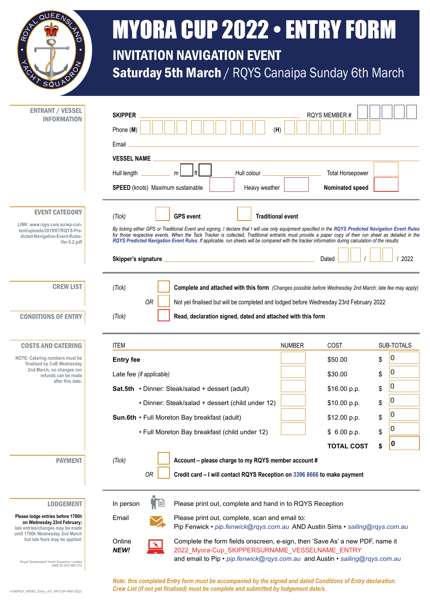<span id="page-1-0"></span>

# MYORA CUP 2022 • ENTRY FORM INVITATION NAVIGATION EVENT Saturday 5th March / RQYS Canaipa Sunday 6th March

**SKIPPER** RQYS MEMBER # Phone (**M**) (**H**) Email **VESSEL NAME** Hull length m ft Hull colour that Horsepower Hull colour that the Total Horsepower **SPEED** (knots) Maximum sustainable **Heavy weather Nominated speed Nominated speed** *(Tick)* **GPS event Traditional event** By ticking either GPS or Traditional Event and signing, I declare that I will use only equipment specified in the [RQYS Predicted Navigation Event Rules](https://www.rqys.com.au/wp-content/uploads/2019/07/RQYS-Predicted-Navigation-Event-Rules-Ver-5.2.pdf) *for those respective events. When the Tack Tracker is collected, Traditional entrants must provide a paper copy of their run sheet as detailed in the contract the experiments must provide a paper copy of their run sheet a [RQYS Predicted Navigation Event Rules](https://www.rqys.com.au/wp-content/uploads/2019/07/RQYS-Predicted-Navigation-Event-Rules-Ver-5.2.pdf). If applicable, run sheets will be compared with the tracker information during calculation of the results.* **Skipper's signature** and the state of the state of the Dated **Dated | | | | | | | | | | | | | | | | |** | 2022 *(Tick)* **Complete and attached with this form** *(Changes possible before Wednesday 2nd March; late fee may apply) OR* Not yet finalised but will be completed and lodged before Wednesday 23rd February 2022 *(Tick)* **Read, declaration signed, dated and attached with this form** ITEM NUMBER COST SUB-TOTALS **Entry fee \$**50.00 \$ Late fee *(if applicable)* \$30.00 \$ **Sat.5th** • Dinner: Steak/salad + dessert (adult) **816.00 p.p.** \$ • Dinner: Steak/salad + dessert (child under 12) **\$10.00 p.p.** \$ **Sun.6th** • Full Moreton Bay breakfast (adult) **\$12.00** p.p. \$ • Full Moreton Bay breakfast (child under 12) **8 COL 3** \$ 6.00 p.p. \$ **TOTAL COST \$** *(Tick)* **Account – please charge to my RQYS member account #**  *OR* **Credit card – I will contact RQYS Reception on [3396 8666](tel:0733968666) to make payment** In person  $\Pi$  Please print out, complete and hand in to RQYS Reception Email Please print out, complete, scan and email to: Pip Fenwick • *[pip.fenwick@rqys.com.au](mailto:pip.fenwick@rqys.com.au)* AND Austin Sims • *[sailing@rqys.com.au](mailto:sailing@rqys.com.au)* ENTRANT / VESSEL INFORMATION EVENT CATEGORY **[LINK: www.rqys.com.au/wp-con](https://www.rqys.com.au/wp-content/uploads/2019/07/RQYS-Predicted-Navigation-Event-Rules-Ver-5.2.pdf)[tent/uploads/2019/07/RQYS-Pre](https://www.rqys.com.au/wp-content/uploads/2019/07/RQYS-Predicted-Navigation-Event-Rules-Ver-5.2.pdf)[dicted-Navigation-Event-Rules-](https://www.rqys.com.au/wp-content/uploads/2019/07/RQYS-Predicted-Navigation-Event-Rules-Ver-5.2.pdf)[Ver-5.2.pdf](https://www.rqys.com.au/wp-content/uploads/2019/07/RQYS-Predicted-Navigation-Event-Rules-Ver-5.2.pdf)** CREW LIST CONDITIONS OF ENTRY COSTS AND CATERING **NOTE: Catering numbers must be finalised by CoB Wednesday 2nd March; no changes nor refunds can be made after this date.** LODGEMENT **Please lodge entries before 1700h on Wednesday 23rd February; late entries/changes may be made**  PAYMENT  $\overline{0}$  $\overline{0}$ ۱O  $\overline{0}$  $\overline{0}$  $\overline{0}$ **0**



**until 1700h Wednesday 2nd March but late fee/s may be applied.**

Royal Queensland Yacht Squadron Limited ABN 25 053 989 272

*Note: this completed Entry form must be accompanied by the signed and dated Conditions of Entry declaration. Crew List (if not yet finalised) must be complete and submitted by lodgement date/s.*

and email to Pip • *[pip.fenwick@rqys.com.au](mailto:pip.fenwick@rqys.com.au)* and Austin • *[sailing@rqys.com.au](mailto:sailing@rqys.com.au)*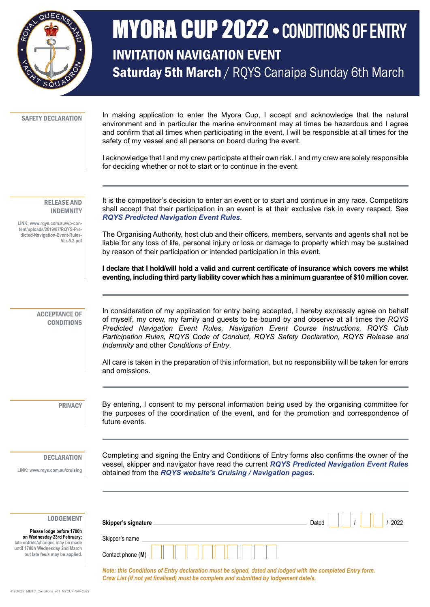<span id="page-2-0"></span>

## MYORA CUP 2022 • CONDITIONS OF ENTRY INVITATION NAVIGATION EVENT Saturday 5th March / RQYS Canaipa Sunday 6th March

|  | <b>SAFETY DECLARATION</b> |
|--|---------------------------|
|--|---------------------------|

In making application to enter the Myora Cup, I accept and acknowledge that the natural environment and in particular the marine environment may at times be hazardous and I agree and confirm that all times when participating in the event, I will be responsible at all times for the safety of my vessel and all persons on board during the event.

I acknowledge that I and my crew participate at their own risk. I and my crew are solely responsible for deciding whether or not to start or to continue in the event.

RELEASE AND INDEMNITY

**[LINK: www.rqys.com.au/wp-con](https://www.rqys.com.au/wp-content/uploads/2019/07/RQYS-Predicted-Navigation-Event-Rules-Ver-5.2.pdf)[tent/uploads/2019/07/RQYS-Pre](https://www.rqys.com.au/wp-content/uploads/2019/07/RQYS-Predicted-Navigation-Event-Rules-Ver-5.2.pdf)[dicted-Navigation-Event-Rules-](https://www.rqys.com.au/wp-content/uploads/2019/07/RQYS-Predicted-Navigation-Event-Rules-Ver-5.2.pdf)[Ver-5.2.pdf](https://www.rqys.com.au/wp-content/uploads/2019/07/RQYS-Predicted-Navigation-Event-Rules-Ver-5.2.pdf)**

It is the competitor's decision to enter an event or to start and continue in any race. Competitors shall accept that their participation in an event is at their exclusive risk in every respect. See *[RQYS Predicted Navigation Event Rules](https://www.rqys.com.au/wp-content/uploads/2019/07/RQYS-Predicted-Navigation-Event-Rules-Ver-5.2.pdf)*.

The Organising Authority, host club and their officers, members, servants and agents shall not be liable for any loss of life, personal injury or loss or damage to property which may be sustained by reason of their participation or intended participation in this event.

**I declare that I hold/will hold a valid and current certificate of insurance which covers me whilst eventing, including third party liability cover which has a minimum guarantee of \$10 million cover.**

ACCEPTANCE OF **CONDITIONS**  In consideration of my application for entry being accepted, I hereby expressly agree on behalf of myself, my crew, my family and guests to be bound by and observe at all times the *RQYS Predicted Navigation Event Rules, Navigation Event Course Instructions, RQYS Club Participation Rules, RQYS Code of Conduct, RQYS Safety Declaration, RQYS Release and Indemnity* and other *Conditions of Entry*.

All care is taken in the preparation of this information, but no responsibility will be taken for errors and omissions.

PRIVACY

By entering, I consent to my personal information being used by the organising committee for the purposes of the coordination of the event, and for the promotion and correspondence of future events.

#### **DECLARATION**

LODGEMENT

**Please lodge before 1700h on Wednesday 23rd February; late entries/changes may be made until 1700h Wednesday 2nd March but late fee/s may be applied.**

**[LINK: www.rqys.com.au/cruising](https://www.rqys.com.au/cruising/)**

Completing and signing the Entry and Conditions of Entry forms also confirms the owner of the vessel, skipper and navigator have read the current *[RQYS Predicted Navigation Event Rules](https://www.rqys.com.au/wp-content/uploads/2019/07/RQYS-Predicted-Navigation-Event-Rules-Ver-5.2.pdf)* obtained from the *[RQYS website's Cruising / Navigation pages](https://www.rqys.com.au/cruising/)*.

| Skipper's signature                 | Dated<br>2022 |
|-------------------------------------|---------------|
| Skipper's name<br>Contact phone (M) |               |

*Note: this Conditions of Entry declaration must be signed, dated and lodged with the completed Entry form. Crew List (if not yet finalised) must be complete and submitted by lodgement date/s.*